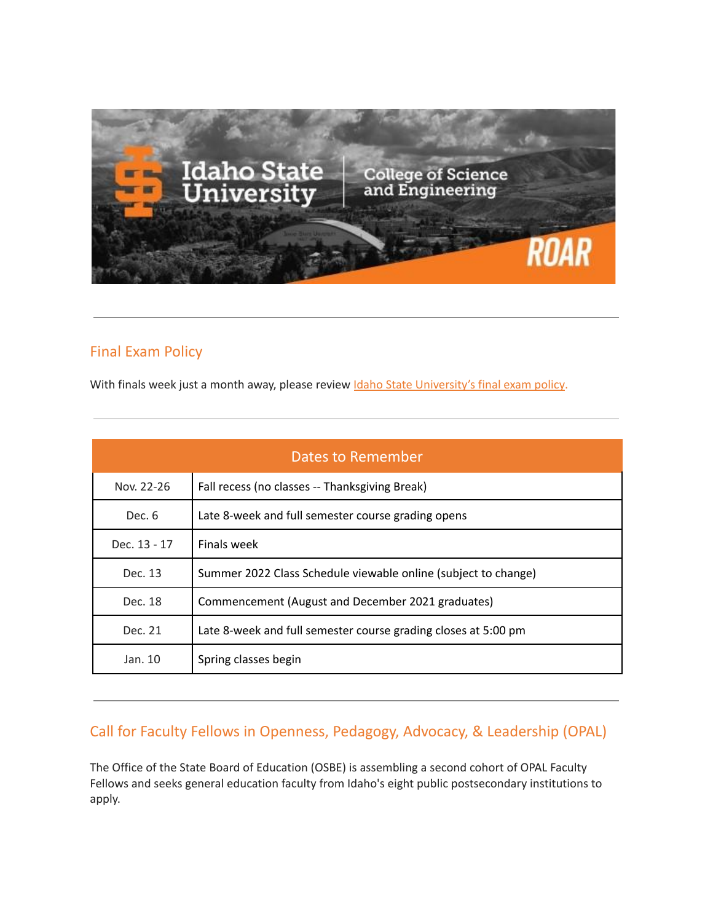

# Final Exam Policy

With finals week just a month away, please review Idaho State [University's](http://coursecat.isu.edu/undergraduate/academicinformation/otherpolicies/) final exam policy.

| <b>Dates to Remember</b> |                                                                |  |  |
|--------------------------|----------------------------------------------------------------|--|--|
| Nov. 22-26               | Fall recess (no classes -- Thanksgiving Break)                 |  |  |
| Dec. 6                   | Late 8-week and full semester course grading opens             |  |  |
| Dec. 13 - 17             | Finals week                                                    |  |  |
| Dec. 13                  | Summer 2022 Class Schedule viewable online (subject to change) |  |  |
| Dec. 18                  | Commencement (August and December 2021 graduates)              |  |  |
| Dec. 21                  | Late 8-week and full semester course grading closes at 5:00 pm |  |  |
| Jan. 10                  | Spring classes begin                                           |  |  |

# Call for Faculty Fellows in Openness, Pedagogy, Advocacy, & Leadership (OPAL)

The Office of the State Board of Education (OSBE) is assembling a second cohort of OPAL Faculty Fellows and seeks general education faculty from Idaho's eight public postsecondary institutions to apply.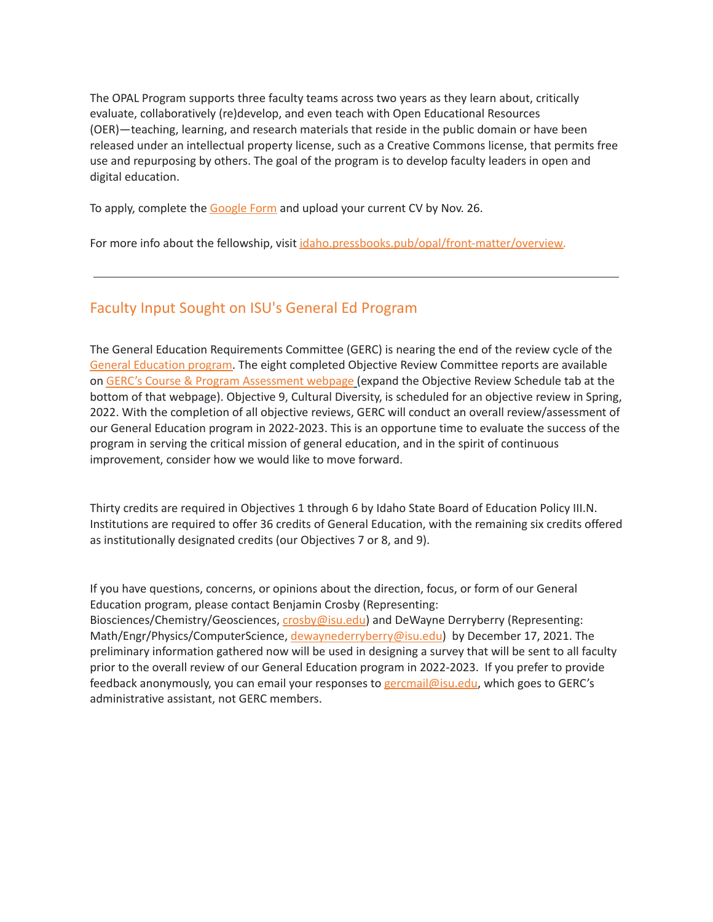The OPAL Program supports three faculty teams across two years as they learn about, critically evaluate, collaboratively (re)develop, and even teach with Open Educational Resources (OER)—teaching, learning, and research materials that reside in the public domain or have been released under an intellectual property license, such as a Creative Commons license, that permits free use and repurposing by others. The goal of the program is to develop faculty leaders in open and digital education.

To apply, complete the [Google](https://docs.google.com/forms/d/e/1FAIpQLSci-_iMXhgEscstL_pnLQh6c0H5uvMMfkYuqKFtebY7YY31nQ/viewform?usp=sf_link) Form and upload your current CV by Nov. 26.

For more info about the fellowship, visit [idaho.pressbooks.pub/opal/front-matter/overview.](https://idaho.pressbooks.pub/opal/front-matter/overview/)

#### Faculty Input Sought on ISU's General Ed Program

The General Education Requirements Committee (GERC) is nearing the end of the review cycle of the General [Education](http://coursecat.isu.edu/undergraduate/academicinformation/generaleducation/) program. The eight completed Objective Review Committee reports are available on GERC's Course & Program [Assessment](https://www.isu.edu/gerc/course--program-assessment-process/) webpage (expand the Objective Review Schedule tab at the bottom of that webpage). Objective 9, Cultural Diversity, is scheduled for an objective review in Spring, 2022. With the completion of all objective reviews, GERC will conduct an overall review/assessment of our General Education program in 2022-2023. This is an opportune time to evaluate the success of the program in serving the critical mission of general education, and in the spirit of continuous improvement, consider how we would like to move forward.

Thirty credits are required in Objectives 1 through 6 by Idaho State Board of Education Policy III.N. Institutions are required to offer 36 credits of General Education, with the remaining six credits offered as institutionally designated credits (our Objectives 7 or 8, and 9).

If you have questions, concerns, or opinions about the direction, focus, or form of our General Education program, please contact Benjamin Crosby (Representing: Biosciences/Chemistry/Geosciences, [crosby@isu.edu](mailto:crosby@isu.edu)) and DeWayne Derryberry (Representing: Math/Engr/Physics/ComputerScience, [dewaynederryberry@isu.edu](mailto:dewaynederryberry@isu.edu)) by December 17, 2021. The preliminary information gathered now will be used in designing a survey that will be sent to all faculty prior to the overall review of our General Education program in 2022-2023. If you prefer to provide feedback anonymously, you can email your responses to gercmail@isu.edu, which goes to GERC's administrative assistant, not GERC members.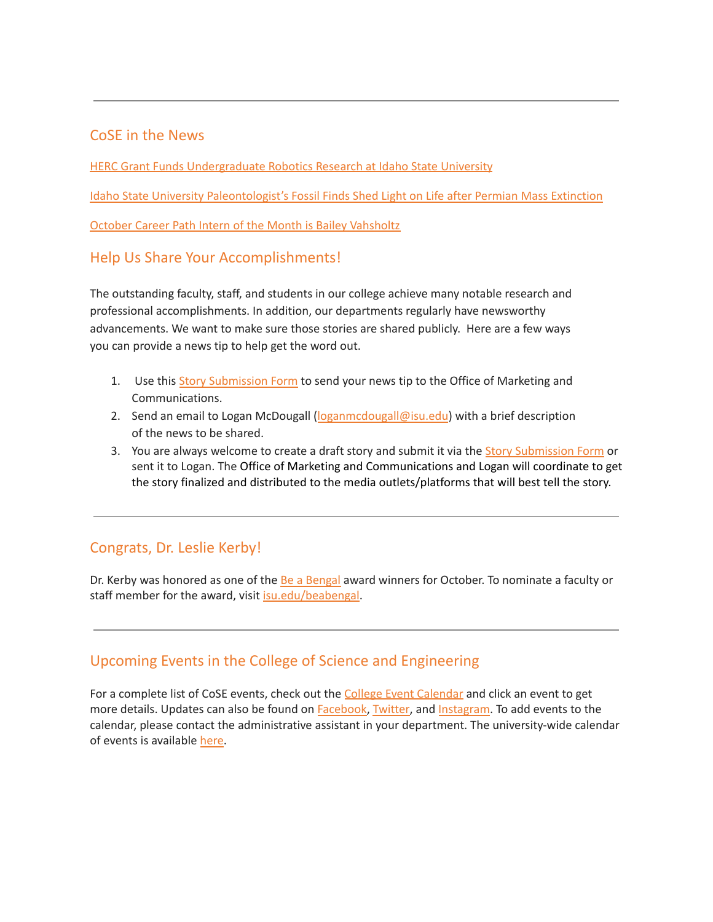#### CoSE in the News

HERC Grant Funds [Undergraduate](https://www.isu.edu/news/2021-fall/herc-grant-funds-undergraduate-robotics-research-at-idaho-state-university.html) Robotics Research at Idaho State University

Idaho State University [Paleontologist's](https://www.isu.edu/news/2021-fall/idaho-state-university-paleontologists-fossil-finds-shed-light-on-life-after-permian-mass-extinction.html) Fossil Finds Shed Light on Life after Permian Mass Extinction

October Career Path Intern of the Month is Bailey [Vahsholtz](https://www.isu.edu/news/2021-fall/october-career-path-intern-of-the-month-is-bailey-vahsholtz.html)

### Help Us Share Your Accomplishments!

The outstanding faculty, staff, and students in our college achieve many notable research and professional accomplishments. In addition, our departments regularly have newsworthy advancements. We want to make sure those stories are shared publicly. Here are a few ways you can provide a news tip to help get the word out.

- 1. Use this Story [Submission](https://www.isu.edu/news/story-form/) Form to send your news tip to the Office of Marketing and Communications.
- 2. Send an email to Logan McDougall ([loganmcdougall@isu.edu](mailto:loganmcdougall@isu.edu)) with a brief description of the news to be shared.
- 3. You are always welcome to create a draft story and submit it via the Story [Submission](https://www.isu.edu/news/story-form/) Form or sent it to Logan. The Office of Marketing and Communications and Logan will coordinate to get the story finalized and distributed to the media outlets/platforms that will best tell the story.

# Congrats, Dr. Leslie Kerby!

Dr. Kerby was honored as one of the Be a [Bengal](https://www.isu.edu/news/2021-fall/october-be-a-bengal-winners.html) award winners for October. To nominate a faculty or staff member for the award, visit *isu.edu/beabengal*.

## Upcoming Events in the College of Science and Engineering

For a complete list of CoSE events, check out the College Event [Calendar](https://isu.edu/cse/calendar/) and click an event to get more details. Updates can also be found on [Facebook](https://www.facebook.com/IdahoStateUCoSE), [Twitter](https://twitter.com/IdahoStateUCoSE), and [Instagram.](https://www.instagram.com/idahostateucose/) To add events to the calendar, please contact the administrative assistant in your department. The university-wide calendar of events is available [here](https://www.isu.edu/calendar/).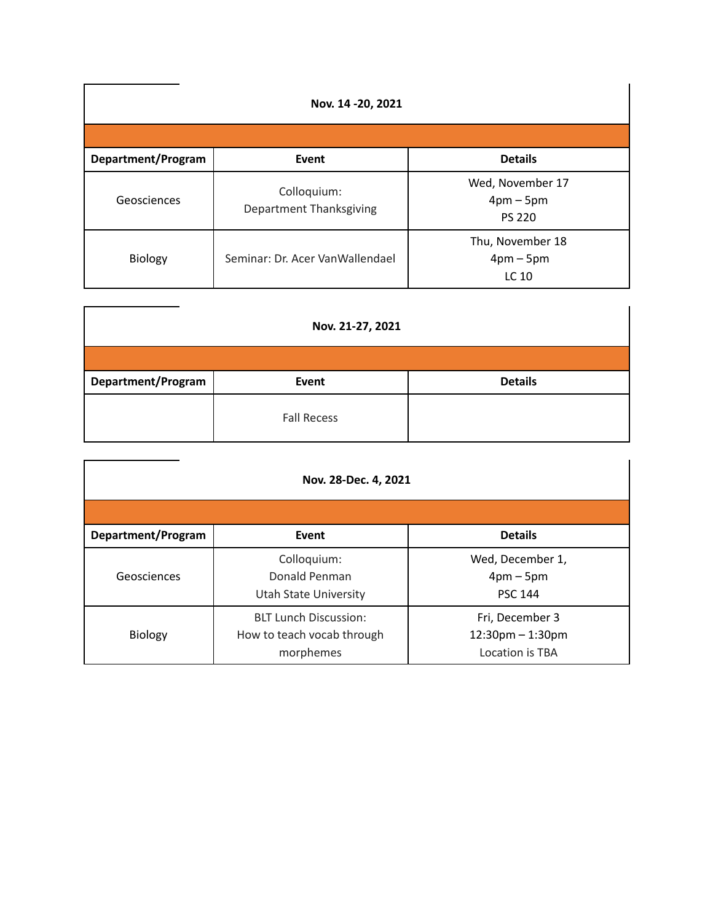| Nov. 14 - 20, 2021 |                                        |                                                |  |  |  |
|--------------------|----------------------------------------|------------------------------------------------|--|--|--|
|                    |                                        |                                                |  |  |  |
| Department/Program | Event                                  | <b>Details</b>                                 |  |  |  |
| Geosciences        | Colloquium:<br>Department Thanksgiving | Wed, November 17<br>$4pm-5pm$<br><b>PS 220</b> |  |  |  |
| Biology            | Seminar: Dr. Acer VanWallendael        | Thu, November 18<br>$4pm-5pm$<br>LC 10         |  |  |  |

| Nov. 21-27, 2021   |                    |                |  |  |  |
|--------------------|--------------------|----------------|--|--|--|
|                    |                    |                |  |  |  |
| Department/Program | Event              | <b>Details</b> |  |  |  |
|                    | <b>Fall Recess</b> |                |  |  |  |

| Nov. 28-Dec. 4, 2021 |                                                                         |                                                                   |  |  |  |
|----------------------|-------------------------------------------------------------------------|-------------------------------------------------------------------|--|--|--|
| Department/Program   | Event                                                                   | <b>Details</b>                                                    |  |  |  |
| Geosciences          | Colloquium:<br>Donald Penman<br>Utah State University                   | Wed, December 1,<br>$4 \text{pm} - 5 \text{pm}$<br><b>PSC 144</b> |  |  |  |
| Biology              | <b>BLT Lunch Discussion:</b><br>How to teach vocab through<br>morphemes | Fri, December 3<br>$12:30$ pm $-1:30$ pm<br>Location is TBA       |  |  |  |